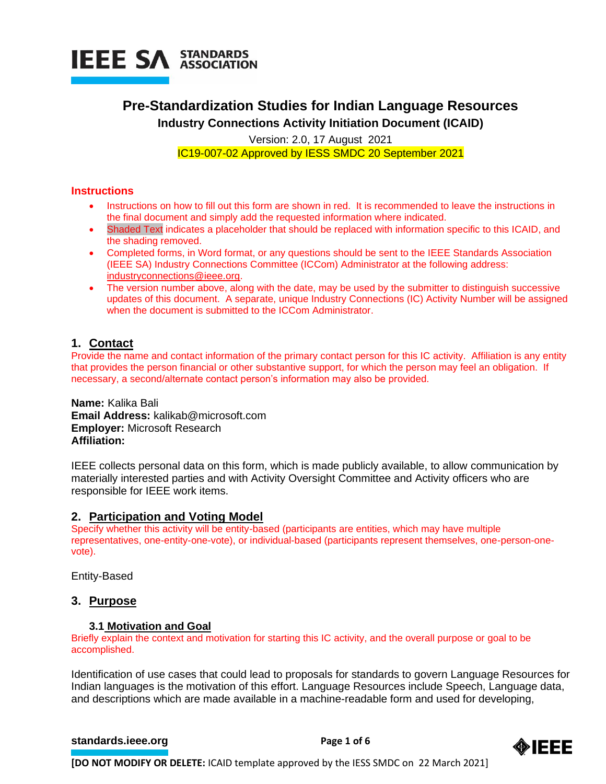

# **Pre-Standardization Studies for Indian Language Resources Industry Connections Activity Initiation Document (ICAID)**

Version: 2.0, 17 August 2021 IC19-007-02 Approved by IESS SMDC 20 September 2021

# **Instructions**

- Instructions on how to fill out this form are shown in red. It is recommended to leave the instructions in the final document and simply add the requested information where indicated.
- Shaded Text indicates a placeholder that should be replaced with information specific to this ICAID, and the shading removed.
- Completed forms, in Word format, or any questions should be sent to the IEEE Standards Association (IEEE SA) Industry Connections Committee (ICCom) Administrator at the following address: [industryconnections@ieee.org.](mailto:industryconnections@ieee.org)
- The version number above, along with the date, may be used by the submitter to distinguish successive updates of this document. A separate, unique Industry Connections (IC) Activity Number will be assigned when the document is submitted to the ICCom Administrator.

# **1. Contact**

Provide the name and contact information of the primary contact person for this IC activity. Affiliation is any entity that provides the person financial or other substantive support, for which the person may feel an obligation. If necessary, a second/alternate contact person's information may also be provided.

**Name:** Kalika Bali **Email Address:** kalikab@microsoft.com **Employer:** Microsoft Research **Affiliation:**

IEEE collects personal data on this form, which is made publicly available, to allow communication by materially interested parties and with Activity Oversight Committee and Activity officers who are responsible for IEEE work items.

# **2. Participation and Voting Model**

Specify whether this activity will be entity-based (participants are entities, which may have multiple representatives, one-entity-one-vote), or individual-based (participants represent themselves, one-person-onevote).

Entity-Based

# **3. Purpose**

# **3.1 Motivation and Goal**

Briefly explain the context and motivation for starting this IC activity, and the overall purpose or goal to be accomplished.

Identification of use cases that could lead to proposals for standards to govern Language Resources for Indian languages is the motivation of this effort. Language Resources include Speech, Language data, and descriptions which are made available in a machine-readable form and used for developing,

# **[standards.ieee.org](http://standards.ieee.org/) example 2 Page 1 of 6**



**[DO NOT MODIFY OR DELETE:** ICAID template approved by the IESS SMDC on 22 March 2021]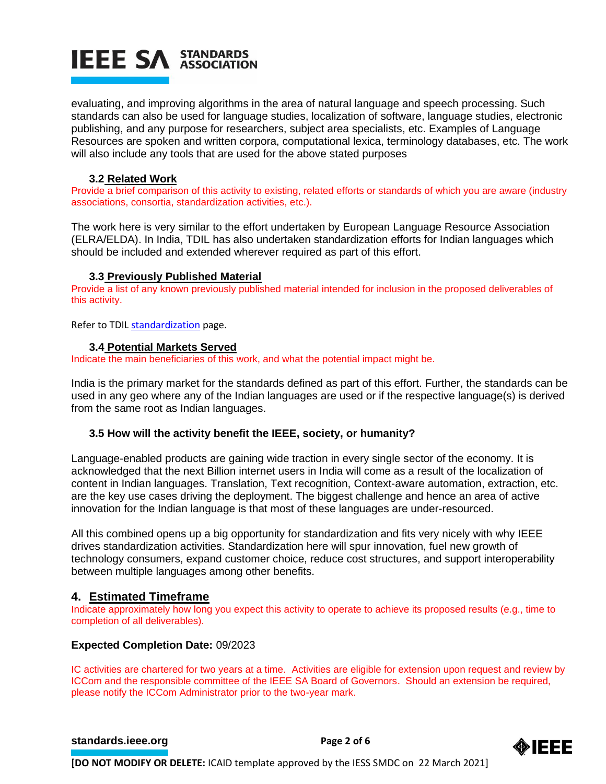# **IEEE SA STANDARDS**

evaluating, and improving algorithms in the area of natural language and speech processing. Such standards can also be used for language studies, localization of software, language studies, electronic publishing, and any purpose for researchers, subject area specialists, etc. Examples of Language Resources are spoken and written corpora, computational lexica, terminology databases, etc. The work will also include any tools that are used for the above stated purposes

# **3.2 Related Work**

Provide a brief comparison of this activity to existing, related efforts or standards of which you are aware (industry associations, consortia, standardization activities, etc.).

The work here is very similar to the effort undertaken by European Language Resource Association (ELRA/ELDA). In India, TDIL has also undertaken standardization efforts for Indian languages which should be included and extended wherever required as part of this effort.

# **3.3 Previously Published Material**

Provide a list of any known previously published material intended for inclusion in the proposed deliverables of this activity.

Refer to TDI[L standardization](http://tdil.meity.gov.in/) page.

# **3.4 Potential Markets Served**

Indicate the main beneficiaries of this work, and what the potential impact might be.

India is the primary market for the standards defined as part of this effort. Further, the standards can be used in any geo where any of the Indian languages are used or if the respective language(s) is derived from the same root as Indian languages.

# **3.5 How will the activity benefit the IEEE, society, or humanity?**

Language-enabled products are gaining wide traction in every single sector of the economy. It is acknowledged that the next Billion internet users in India will come as a result of the localization of content in Indian languages. Translation, Text recognition, Context-aware automation, extraction, etc. are the key use cases driving the deployment. The biggest challenge and hence an area of active innovation for the Indian language is that most of these languages are under-resourced.

All this combined opens up a big opportunity for standardization and fits very nicely with why IEEE drives standardization activities. Standardization here will spur innovation, fuel new growth of technology consumers, expand customer choice, reduce cost structures, and support interoperability between multiple languages among other benefits.

# **4. Estimated Timeframe**

Indicate approximately how long you expect this activity to operate to achieve its proposed results (e.g., time to completion of all deliverables).

# **Expected Completion Date:** 09/2023

IC activities are chartered for two years at a time. Activities are eligible for extension upon request and review by ICCom and the responsible committee of the IEEE SA Board of Governors. Should an extension be required, please notify the ICCom Administrator prior to the two-year mark.

# **[standards.ieee.org](http://standards.ieee.org/)**<br> **Page 2 of 6**

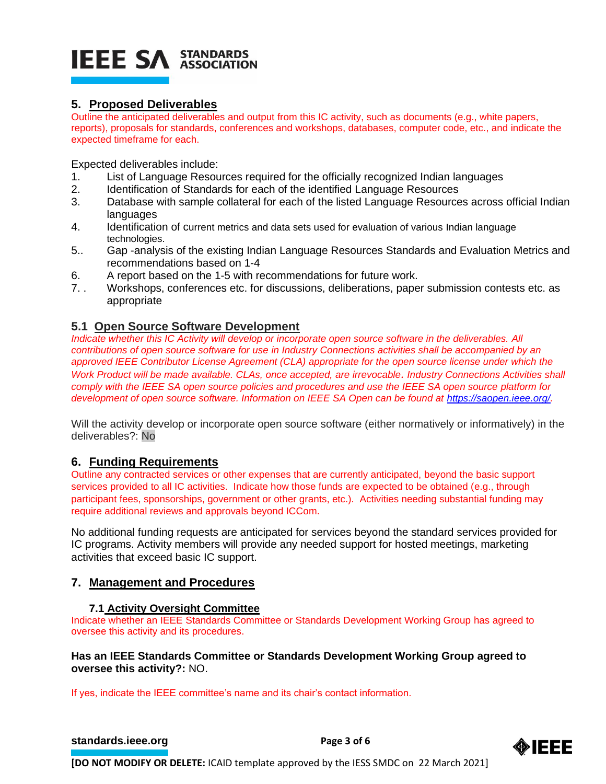# **IEEE SA STANDARDS**

# **5. Proposed Deliverables**

Outline the anticipated deliverables and output from this IC activity, such as documents (e.g., white papers, reports), proposals for standards, conferences and workshops, databases, computer code, etc., and indicate the expected timeframe for each.

Expected deliverables include:

- 1. List of Language Resources required for the officially recognized Indian languages
- 2. Identification of Standards for each of the identified Language Resources
- 3. Database with sample collateral for each of the listed Language Resources across official Indian languages
- 4. Identification of current metrics and data sets used for evaluation of various Indian language technologies.
- 5.. Gap -analysis of the existing Indian Language Resources Standards and Evaluation Metrics and recommendations based on 1-4
- 6. A report based on the 1-5 with recommendations for future work.
- 7. . Workshops, conferences etc. for discussions, deliberations, paper submission contests etc. as appropriate

# **5.1 Open Source Software Development**

*Indicate whether this IC Activity will develop or incorporate open source software in the deliverables. All contributions of open source software for use in Industry Connections activities shall be accompanied by an approved IEEE Contributor License Agreement (CLA) appropriate for the open source license under which the Work Product will be made available. CLAs, once accepted, are irrevocable. Industry Connections Activities shall comply with the IEEE SA open source policies and procedures and use the IEEE SA open source platform for development of open source software. Information on IEEE SA Open can be found at [https://saopen.ieee.org/.](https://saopen.ieee.org/)* 

Will the activity develop or incorporate open source software (either normatively or informatively) in the deliverables?: No

# **6. Funding Requirements**

Outline any contracted services or other expenses that are currently anticipated, beyond the basic support services provided to all IC activities. Indicate how those funds are expected to be obtained (e.g., through participant fees, sponsorships, government or other grants, etc.). Activities needing substantial funding may require additional reviews and approvals beyond ICCom.

No additional funding requests are anticipated for services beyond the standard services provided for IC programs. Activity members will provide any needed support for hosted meetings, marketing activities that exceed basic IC support.

# **7. Management and Procedures**

# **7.1 Activity Oversight Committee**

Indicate whether an IEEE Standards Committee or Standards Development Working Group has agreed to oversee this activity and its procedures.

# **Has an IEEE Standards Committee or Standards Development Working Group agreed to oversee this activity?:** NO.

If yes, indicate the IEEE committee's name and its chair's contact information.

# **[standards.ieee.org](http://standards.ieee.org/)**<br> **Page 3 of 6**

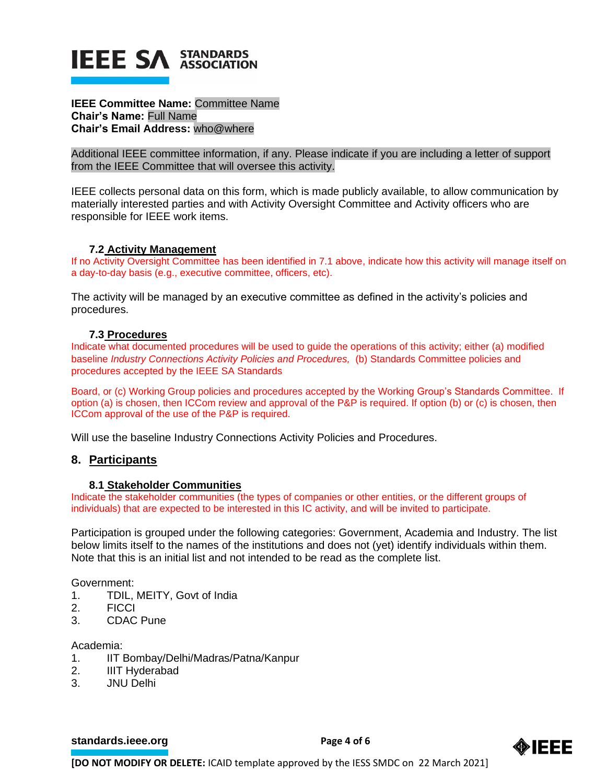

# **IEEE Committee Name:** Committee Name **Chair's Name:** Full Name **Chair's Email Address:** who@where

Additional IEEE committee information, if any. Please indicate if you are including a letter of support from the IEEE Committee that will oversee this activity.

IEEE collects personal data on this form, which is made publicly available, to allow communication by materially interested parties and with Activity Oversight Committee and Activity officers who are responsible for IEEE work items.

#### **7.2 Activity Management**

If no Activity Oversight Committee has been identified in 7.1 above, indicate how this activity will manage itself on a day-to-day basis (e.g., executive committee, officers, etc).

The activity will be managed by an executive committee as defined in the activity's policies and procedures.

# **7.3 Procedures**

Indicate what documented procedures will be used to guide the operations of this activity; either (a) modified baseline *Industry Connections Activity Policies and Procedures,* (b) Standards Committee policies and procedures accepted by the IEEE SA Standards

Board, or (c) Working Group policies and procedures accepted by the Working Group's Standards Committee. If option (a) is chosen, then ICCom review and approval of the P&P is required. If option (b) or (c) is chosen, then ICCom approval of the use of the P&P is required.

Will use the baseline Industry Connections Activity Policies and Procedures.

# **8. Participants**

#### **8.1 Stakeholder Communities**

Indicate the stakeholder communities (the types of companies or other entities, or the different groups of individuals) that are expected to be interested in this IC activity, and will be invited to participate.

Participation is grouped under the following categories: Government, Academia and Industry. The list below limits itself to the names of the institutions and does not (yet) identify individuals within them. Note that this is an initial list and not intended to be read as the complete list.

Government:

- 1. TDIL, MEITY, Govt of India
- 2. FICCI
- 3. CDAC Pune

Academia:

- 1. IIT Bombay/Delhi/Madras/Patna/Kanpur
- 2. IIIT Hyderabad
- 3. JNU Delhi

**[standards.ieee.org](http://standards.ieee.org/) Brandards.ieee.org Brandards.ieee.org Brandards.ieee.org Brandards.ieee.org Brandards.ieee.org Brandards.ieee.org Brandards.ieee.org Brandards.ieee.org Brandards.ieee.org Brandards.i** 



**[DO NOT MODIFY OR DELETE:** ICAID template approved by the IESS SMDC on 22 March 2021]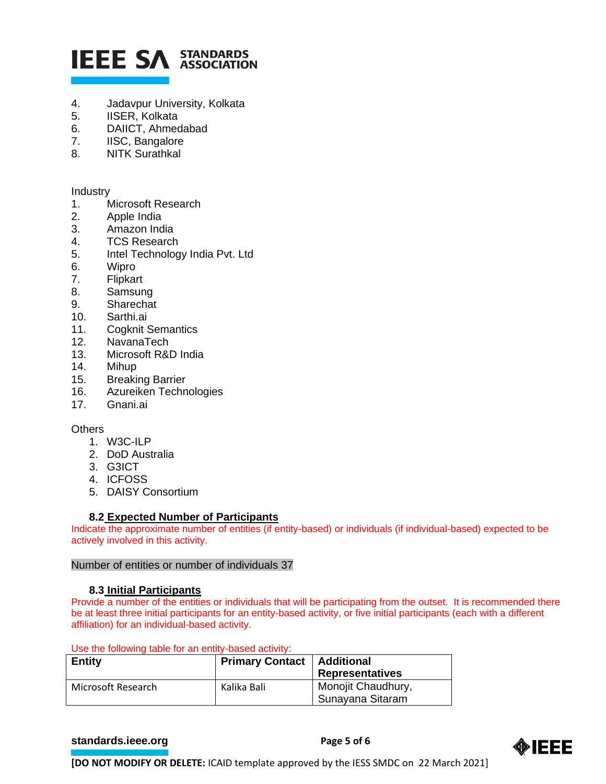# **IEEE SA STANDARDS**

- 4. Jadavpur University, Kolkata
- 5. IISER, Kolkata
- 6. DAIICT, Ahmedabad
- 7. IISC, Bangalore
- 8. NITK Surathkal

Industry

- 1. Microsoft Research
- 2. Apple India
- 3. Amazon India
- 4. TCS Research
- 5. Intel Technology India Pvt. Ltd
- 6. Wipro
- 7. Flipkart
- 8. Samsung
- 9. Sharechat
- 10. Sarthi.ai
- 11. Cogknit Semantics
- 12. NavanaTech
- 13. Microsoft R&D India
- 14. Mihup
- 15. Breaking Barrier
- 16. Azureiken Technologies
- 17. Gnani.ai

# **Others**

- 1. W3C-ILP
- 2. DoD Australia
- 3. G3ICT
- 4. ICFOSS
- 5. DAISY Consortium

# **8.2 Expected Number of Participants**

Indicate the approximate number of entities (if entity-based) or individuals (if individual-based) expected to be actively involved in this activity.

# Number of entities or number of individuals 37

# **8.3 Initial Participants**

Provide a number of the entities or individuals that will be participating from the outset. It is recommended there be at least three initial participants for an entity-based activity, or five initial participants (each with a different affiliation) for an individual-based activity.

Use the following table for an entity-based activity:

| <b>Entity</b>      | <b>Primary Contact   Additional</b> | <b>Representatives</b>                 |
|--------------------|-------------------------------------|----------------------------------------|
| Microsoft Research | Kalika Bali                         | Monojit Chaudhury,<br>Sunayana Sitaram |

# **[standards.ieee.org](http://standards.ieee.org/) EXECUTE: Page 5 of 6**



**[DO NOT MODIFY OR DELETE:** ICAID template approved by the IESS SMDC on 22 March 2021]